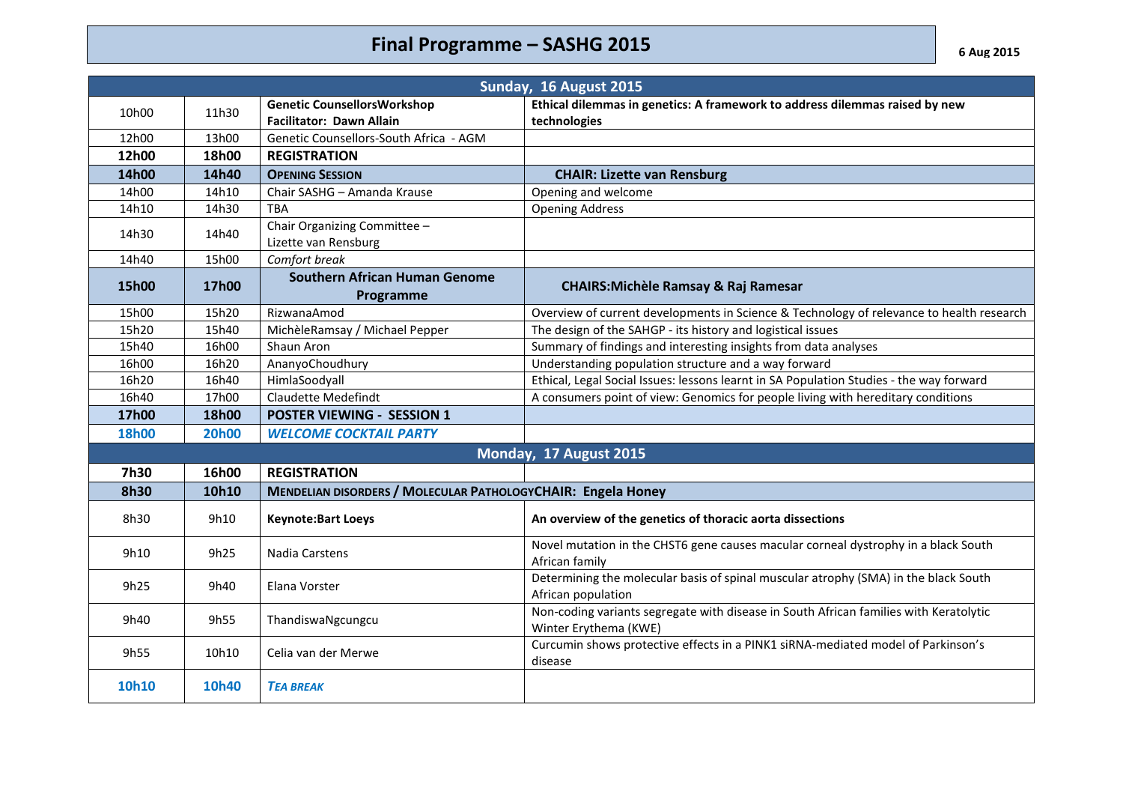## **Final Programme – SASHG 2015** *6 Aug 2015*

| Sunday, 16 August 2015 |              |                                                              |                                                                                                                |  |  |
|------------------------|--------------|--------------------------------------------------------------|----------------------------------------------------------------------------------------------------------------|--|--|
| 10h00                  | 11h30        | <b>Genetic CounsellorsWorkshop</b>                           | Ethical dilemmas in genetics: A framework to address dilemmas raised by new                                    |  |  |
|                        |              | Facilitator: Dawn Allain                                     | technologies                                                                                                   |  |  |
| 12h00                  | 13h00        | Genetic Counsellors-South Africa - AGM                       |                                                                                                                |  |  |
| 12h00                  | 18h00        | <b>REGISTRATION</b>                                          |                                                                                                                |  |  |
| 14h00                  | 14h40        | <b>OPENING SESSION</b>                                       | <b>CHAIR: Lizette van Rensburg</b>                                                                             |  |  |
| 14h00                  | 14h10        | Chair SASHG - Amanda Krause                                  | Opening and welcome                                                                                            |  |  |
| 14h10                  | 14h30        | TBA                                                          | <b>Opening Address</b>                                                                                         |  |  |
| 14h30                  | 14h40        | Chair Organizing Committee -<br>Lizette van Rensburg         |                                                                                                                |  |  |
| 14h40                  | 15h00        | Comfort break                                                |                                                                                                                |  |  |
| 15h00                  | 17h00        | <b>Southern African Human Genome</b><br>Programme            | <b>CHAIRS: Michèle Ramsay &amp; Raj Ramesar</b>                                                                |  |  |
| 15h00                  | 15h20        | RizwanaAmod                                                  | Overview of current developments in Science & Technology of relevance to health research                       |  |  |
| 15h20                  | 15h40        | MichèleRamsay / Michael Pepper                               | The design of the SAHGP - its history and logistical issues                                                    |  |  |
| 15h40                  | 16h00        | Shaun Aron                                                   | Summary of findings and interesting insights from data analyses                                                |  |  |
| 16h00                  | 16h20        | AnanyoChoudhury                                              | Understanding population structure and a way forward                                                           |  |  |
| 16h20                  | 16h40        | HimlaSoodyall                                                | Ethical, Legal Social Issues: lessons learnt in SA Population Studies - the way forward                        |  |  |
| 16h40                  | 17h00        | <b>Claudette Medefindt</b>                                   | A consumers point of view: Genomics for people living with hereditary conditions                               |  |  |
| 17h00                  | 18h00        | <b>POSTER VIEWING - SESSION 1</b>                            |                                                                                                                |  |  |
| <b>18h00</b>           | <b>20h00</b> | <b>WELCOME COCKTAIL PARTY</b>                                |                                                                                                                |  |  |
|                        |              |                                                              | Monday, 17 August 2015                                                                                         |  |  |
| 7h30                   | 16h00        | <b>REGISTRATION</b>                                          |                                                                                                                |  |  |
| 8h30                   | 10h10        | MENDELIAN DISORDERS / MOLECULAR PATHOLOGYCHAIR: Engela Honey |                                                                                                                |  |  |
| 8h30                   | 9h10         | <b>Keynote:Bart Loeys</b>                                    | An overview of the genetics of thoracic aorta dissections                                                      |  |  |
| 9h10                   | 9h25         | Nadia Carstens                                               | Novel mutation in the CHST6 gene causes macular corneal dystrophy in a black South<br>African family           |  |  |
| 9h25                   | 9h40         | Elana Vorster                                                | Determining the molecular basis of spinal muscular atrophy (SMA) in the black South<br>African population      |  |  |
| 9h40                   | 9h55         | ThandiswaNgcungcu                                            | Non-coding variants segregate with disease in South African families with Keratolytic<br>Winter Erythema (KWE) |  |  |
| 9h55                   | 10h10        | Celia van der Merwe                                          | Curcumin shows protective effects in a PINK1 siRNA-mediated model of Parkinson's<br>disease                    |  |  |
| 10h10                  | 10h40        | <b>TEA BREAK</b>                                             |                                                                                                                |  |  |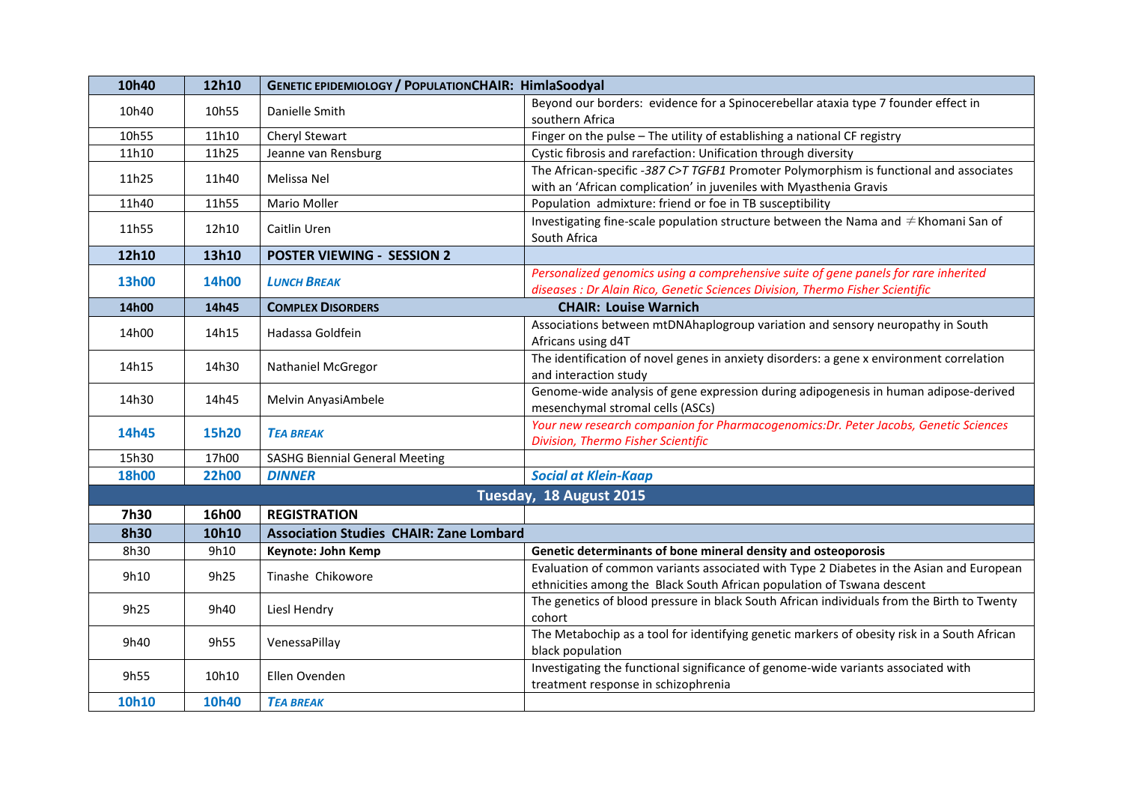| 10h40                   | 12h10        | <b>GENETIC EPIDEMIOLOGY / POPULATIONCHAIR: HimlaSoodyal</b> |                                                                                                          |  |  |
|-------------------------|--------------|-------------------------------------------------------------|----------------------------------------------------------------------------------------------------------|--|--|
| 10h40                   | 10h55        | Danielle Smith                                              | Beyond our borders: evidence for a Spinocerebellar ataxia type 7 founder effect in                       |  |  |
|                         |              |                                                             | southern Africa                                                                                          |  |  |
| 10h55                   | 11h10        | Cheryl Stewart                                              | Finger on the pulse - The utility of establishing a national CF registry                                 |  |  |
| 11h10                   | 11h25        | Jeanne van Rensburg                                         | Cystic fibrosis and rarefaction: Unification through diversity                                           |  |  |
| 11h25                   | 11h40        | Melissa Nel                                                 | The African-specific -387 C>T TGFB1 Promoter Polymorphism is functional and associates                   |  |  |
|                         |              |                                                             | with an 'African complication' in juveniles with Myasthenia Gravis                                       |  |  |
| 11h40                   | 11h55        | Mario Moller                                                | Population admixture: friend or foe in TB susceptibility                                                 |  |  |
| 11h55                   | 12h10        | Caitlin Uren                                                | Investigating fine-scale population structure between the Nama and $\neq$ Khomani San of<br>South Africa |  |  |
| 12h10                   | 13h10        | <b>POSTER VIEWING - SESSION 2</b>                           |                                                                                                          |  |  |
| 13h00                   | 14h00        |                                                             | Personalized genomics using a comprehensive suite of gene panels for rare inherited                      |  |  |
|                         |              | <b>LUNCH BREAK</b>                                          | diseases : Dr Alain Rico, Genetic Sciences Division, Thermo Fisher Scientific                            |  |  |
| 14h00                   | 14h45        | <b>COMPLEX DISORDERS</b>                                    | <b>CHAIR: Louise Warnich</b>                                                                             |  |  |
| 14h00                   | 14h15        | Hadassa Goldfein                                            | Associations between mtDNAhaplogroup variation and sensory neuropathy in South                           |  |  |
|                         |              |                                                             | Africans using d4T                                                                                       |  |  |
| 14h15                   | 14h30        | <b>Nathaniel McGregor</b>                                   | The identification of novel genes in anxiety disorders: a gene x environment correlation                 |  |  |
|                         |              |                                                             | and interaction study                                                                                    |  |  |
| 14h30                   | 14h45        | Melvin AnyasiAmbele                                         | Genome-wide analysis of gene expression during adipogenesis in human adipose-derived                     |  |  |
|                         |              |                                                             | mesenchymal stromal cells (ASCs)                                                                         |  |  |
| 14h45                   | <b>15h20</b> | <b>TEA BREAK</b>                                            | Your new research companion for Pharmacogenomics: Dr. Peter Jacobs, Genetic Sciences                     |  |  |
|                         |              |                                                             | Division, Thermo Fisher Scientific                                                                       |  |  |
| 15h30                   | 17h00        | <b>SASHG Biennial General Meeting</b>                       |                                                                                                          |  |  |
| <b>18h00</b>            | <b>22h00</b> | <b>DINNER</b>                                               | <b>Social at Klein-Kaap</b>                                                                              |  |  |
| Tuesday, 18 August 2015 |              |                                                             |                                                                                                          |  |  |
| 7h30                    | 16h00        | <b>REGISTRATION</b>                                         |                                                                                                          |  |  |
| <b>8h30</b>             | 10h10        | <b>Association Studies CHAIR: Zane Lombard</b>              |                                                                                                          |  |  |
| 8h30                    | 9h10         | Keynote: John Kemp                                          | Genetic determinants of bone mineral density and osteoporosis                                            |  |  |
|                         | 9h25         | Tinashe Chikowore                                           | Evaluation of common variants associated with Type 2 Diabetes in the Asian and European                  |  |  |
| 9h10                    |              |                                                             | ethnicities among the Black South African population of Tswana descent                                   |  |  |
| 9h25                    | 9h40         | Liesl Hendry                                                | The genetics of blood pressure in black South African individuals from the Birth to Twenty               |  |  |
|                         |              |                                                             | cohort                                                                                                   |  |  |
| 9h40                    | 9h55         | VenessaPillay                                               | The Metabochip as a tool for identifying genetic markers of obesity risk in a South African              |  |  |
|                         |              |                                                             | black population                                                                                         |  |  |
| 9h55                    | 10h10        | Ellen Ovenden                                               | Investigating the functional significance of genome-wide variants associated with                        |  |  |
|                         |              |                                                             | treatment response in schizophrenia                                                                      |  |  |
| 10h10                   | 10h40        | <b>TEA BREAK</b>                                            |                                                                                                          |  |  |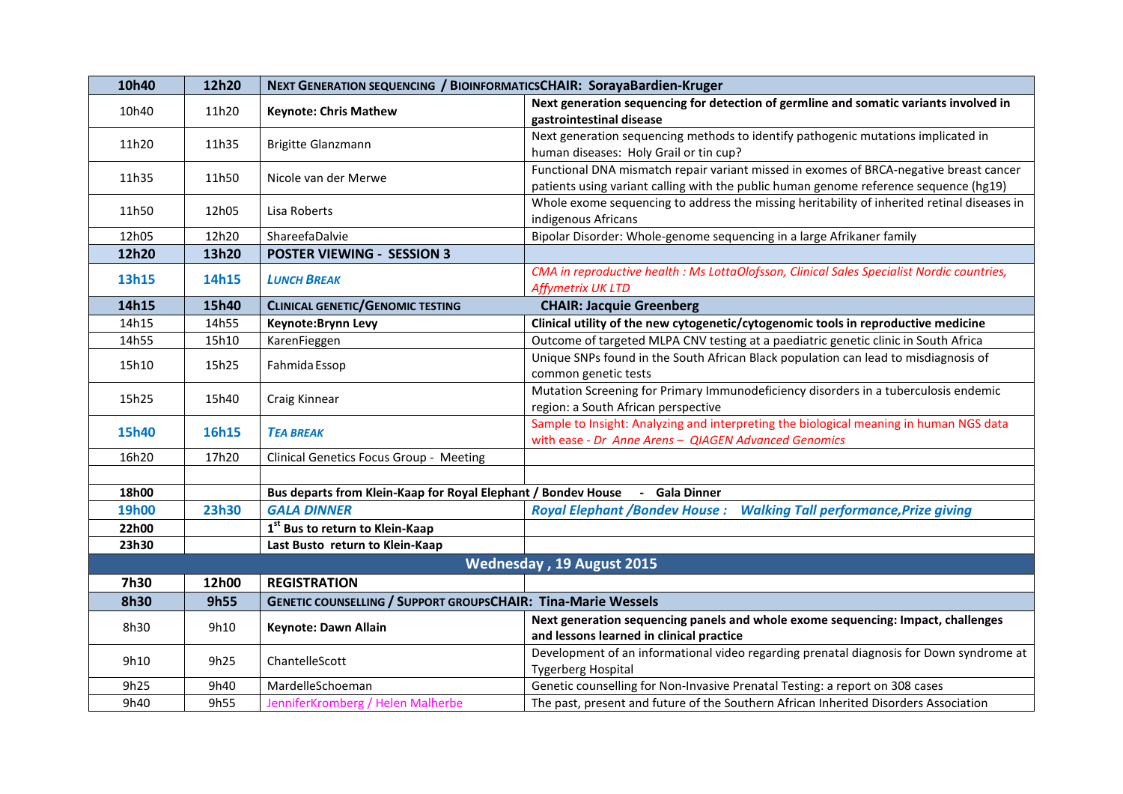| 10h40        | 12h20        | NEXT GENERATION SEQUENCING / BIOINFORMATICSCHAIR: SorayaBardien-Kruger      |                                                                                                                                                                                 |
|--------------|--------------|-----------------------------------------------------------------------------|---------------------------------------------------------------------------------------------------------------------------------------------------------------------------------|
| 10h40        | 11h20        | <b>Keynote: Chris Mathew</b>                                                | Next generation sequencing for detection of germline and somatic variants involved in<br>gastrointestinal disease                                                               |
| 11h20        | 11h35        | Brigitte Glanzmann                                                          | Next generation sequencing methods to identify pathogenic mutations implicated in<br>human diseases: Holy Grail or tin cup?                                                     |
| 11h35        | 11h50        | Nicole van der Merwe                                                        | Functional DNA mismatch repair variant missed in exomes of BRCA-negative breast cancer<br>patients using variant calling with the public human genome reference sequence (hg19) |
| 11h50        | 12h05        | Lisa Roberts                                                                | Whole exome sequencing to address the missing heritability of inherited retinal diseases in<br>indigenous Africans                                                              |
| 12h05        | 12h20        | ShareefaDalvie                                                              | Bipolar Disorder: Whole-genome sequencing in a large Afrikaner family                                                                                                           |
| 12h20        | 13h20        | <b>POSTER VIEWING - SESSION 3</b>                                           |                                                                                                                                                                                 |
| 13h15        | 14h15        | <b>LUNCH BREAK</b>                                                          | CMA in reproductive health : Ms LottaOlofsson, Clinical Sales Specialist Nordic countries,<br><b>Affymetrix UK LTD</b>                                                          |
| 14h15        | 15h40        | <b>CLINICAL GENETIC/GENOMIC TESTING</b>                                     | <b>CHAIR: Jacquie Greenberg</b>                                                                                                                                                 |
| 14h15        | 14h55        | Keynote: Brynn Levy                                                         | Clinical utility of the new cytogenetic/cytogenomic tools in reproductive medicine                                                                                              |
| 14h55        | 15h10        | KarenFieggen                                                                | Outcome of targeted MLPA CNV testing at a paediatric genetic clinic in South Africa                                                                                             |
| 15h10        | 15h25        | Fahmida Essop                                                               | Unique SNPs found in the South African Black population can lead to misdiagnosis of<br>common genetic tests                                                                     |
| 15h25        | 15h40        | Craig Kinnear                                                               | Mutation Screening for Primary Immunodeficiency disorders in a tuberculosis endemic<br>region: a South African perspective                                                      |
| 15h40        | 16h15        | <b>TEA BREAK</b>                                                            | Sample to Insight: Analyzing and interpreting the biological meaning in human NGS data<br>with ease - Dr Anne Arens - QIAGEN Advanced Genomics                                  |
| 16h20        | 17h20        | Clinical Genetics Focus Group - Meeting                                     |                                                                                                                                                                                 |
|              |              |                                                                             |                                                                                                                                                                                 |
| 18h00        |              | Bus departs from Klein-Kaap for Royal Elephant / Bondev House - Gala Dinner |                                                                                                                                                                                 |
| <b>19h00</b> | <b>23h30</b> | <b>GALA DINNER</b>                                                          | <b>Royal Elephant /Bondev House:</b><br><b>Walking Tall performance, Prize giving</b>                                                                                           |
| 22h00        |              | $1st$ Bus to return to Klein-Kaap                                           |                                                                                                                                                                                 |
| 23h30        |              | Last Busto return to Klein-Kaap                                             |                                                                                                                                                                                 |
|              |              |                                                                             | Wednesday, 19 August 2015                                                                                                                                                       |
| 7h30         | 12h00        | <b>REGISTRATION</b>                                                         |                                                                                                                                                                                 |
| <b>8h30</b>  | 9h55         | <b>GENETIC COUNSELLING / SUPPORT GROUPSCHAIR: Tina-Marie Wessels</b>        |                                                                                                                                                                                 |
| 8h30         | 9h10         | Keynote: Dawn Allain                                                        | Next generation sequencing panels and whole exome sequencing: Impact, challenges<br>and lessons learned in clinical practice                                                    |
| 9h10         | 9h25         | ChantelleScott                                                              | Development of an informational video regarding prenatal diagnosis for Down syndrome at<br><b>Tygerberg Hospital</b>                                                            |
| 9h25         | 9h40         | MardelleSchoeman                                                            | Genetic counselling for Non-Invasive Prenatal Testing: a report on 308 cases                                                                                                    |
| 9h40         | 9h55         | JenniferKromberg / Helen Malherbe                                           | The past, present and future of the Southern African Inherited Disorders Association                                                                                            |